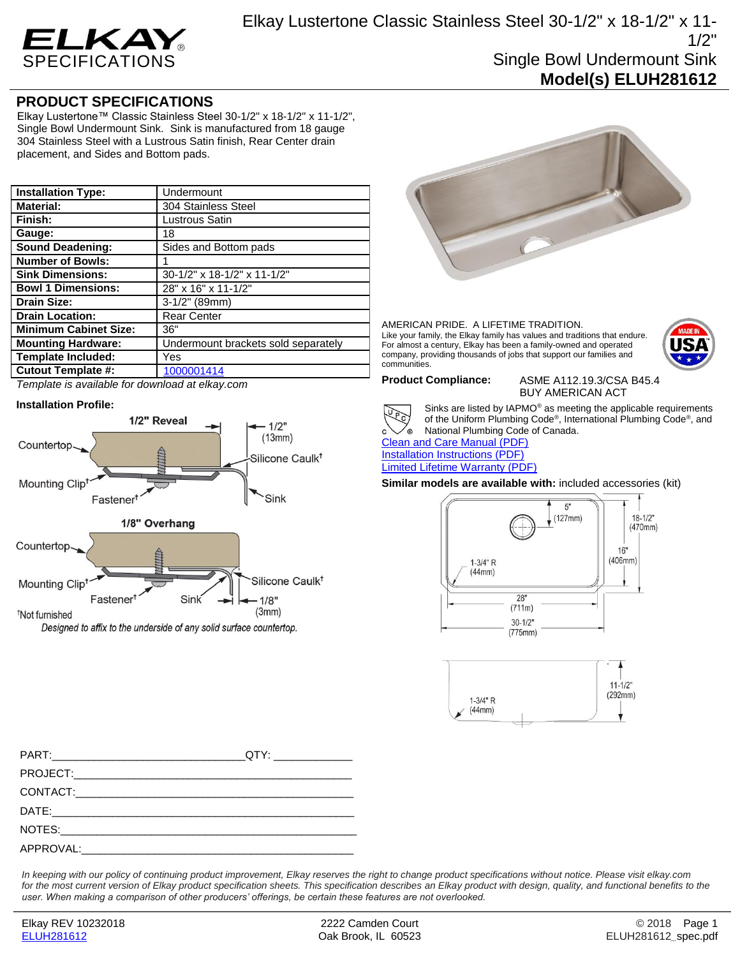

# **PRODUCT SPECIFICATIONS**

Elkay Lustertone™ Classic Stainless Steel 30-1/2" x 18-1/2" x 11-1/2", Single Bowl Undermount Sink. Sink is manufactured from 18 gauge 304 Stainless Steel with a Lustrous Satin finish, Rear Center drain placement, and Sides and Bottom pads.

| <b>Installation Type:</b>    | Undermount                          |
|------------------------------|-------------------------------------|
| <b>Material:</b>             | 304 Stainless Steel                 |
| Finish:                      | Lustrous Satin                      |
| Gauge:                       | 18                                  |
| <b>Sound Deadening:</b>      | Sides and Bottom pads               |
| <b>Number of Bowls:</b>      |                                     |
| <b>Sink Dimensions:</b>      | 30-1/2" x 18-1/2" x 11-1/2"         |
| <b>Bowl 1 Dimensions:</b>    | 28" x 16" x 11-1/2"                 |
| <b>Drain Size:</b>           | $3-1/2$ " (89mm)                    |
| <b>Drain Location:</b>       | <b>Rear Center</b>                  |
| <b>Minimum Cabinet Size:</b> | 36"                                 |
| <b>Mounting Hardware:</b>    | Undermount brackets sold separately |
| <b>Template Included:</b>    | Yes                                 |
| <b>Cutout Template #:</b>    | 1000001414                          |

*Template is available for download at elkay.com*

## **Installation Profile:**



Designed to affix to the underside of any solid surface countertop.



### AMERICAN PRIDE. A LIFETIME TRADITION. Like your family, the Elkay family has values and traditions that endure. For almost a century, Elkay has been a family-owned and operated company, providing thousands of jobs that support our families and communities.



Sinks are listed by IAPMO® as meeting the applicable requirements of the Uniform Plumbing Code® , International Plumbing Code® , and National Plumbing Code of Canada.

[Clean and Care Manual \(PDF\)](http://www.elkay.com/wcsstore/lkdocs/care-cleaning-install-warranty-sheets/residential%20and%20commercial%20care%20%20cleaning.pdf) [Installation Instructions \(PDF\)](http://www.elkay.com/wcsstore/lkdocs/care-cleaning-install-warranty-sheets/1000002045.pdf) [Limited Lifetime Warranty](http://www.elkay.com/wcsstore/lkdocs/care-cleaning-install-warranty-sheets/residential%20sinks%20warranty.pdf) (PDF)

**Similar models are available with:** included accessories (kit)





*In keeping with our policy of continuing product improvement, Elkay reserves the right to change product specifications without notice. Please visit elkay.com*  for the most current version of Elkay product specification sheets. This specification describes an Elkay product with design, quality, and functional benefits to the *user. When making a comparison of other producers' offerings, be certain these features are not overlooked.*